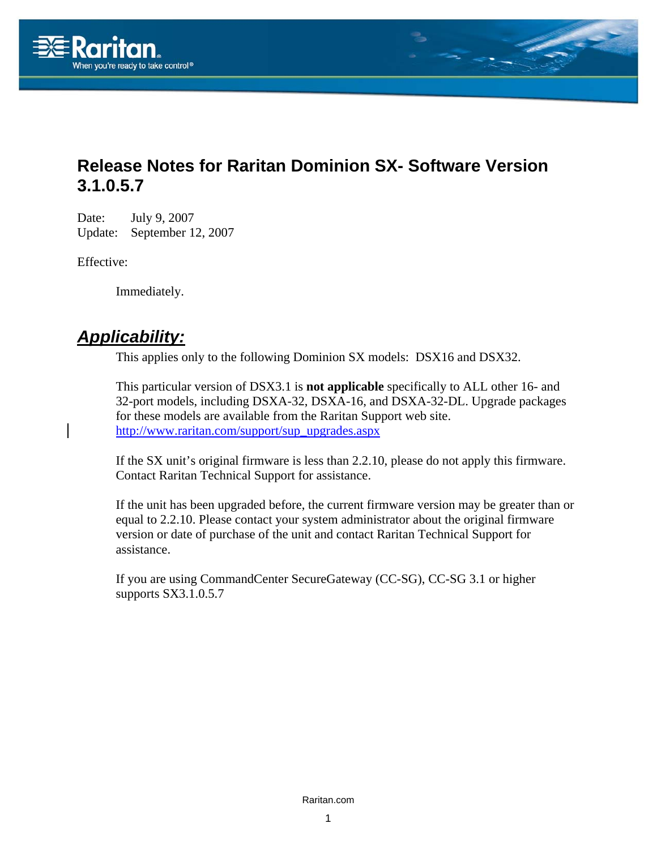

## **Release Notes for Raritan Dominion SX- Software Version 3.1.0.5.7**

Date: July 9, 2007 Update: September 12, 2007

Effective:

Immediately.

### *Applicability:*

This applies only to the following Dominion SX models: DSX16 and DSX32.

This particular version of DSX3.1 is **not applicable** specifically to ALL other 16- and 32-port models, including DSXA-32, DSXA-16, and DSXA-32-DL. Upgrade packages for these models are available from the Raritan Support web site. [http://www.raritan.com/support/sup\\_upgrades.aspx](http://www.raritan.com/support/sup_upgrades.aspx)

If the SX unit's original firmware is less than 2.2.10, please do not apply this firmware. Contact Raritan Technical Support for assistance.

If the unit has been upgraded before, the current firmware version may be greater than or equal to 2.2.10. Please contact your system administrator about the original firmware version or date of purchase of the unit and contact Raritan Technical Support for assistance.

If you are using CommandCenter SecureGateway (CC-SG), CC-SG 3.1 or higher supports SX3.1.0.5.7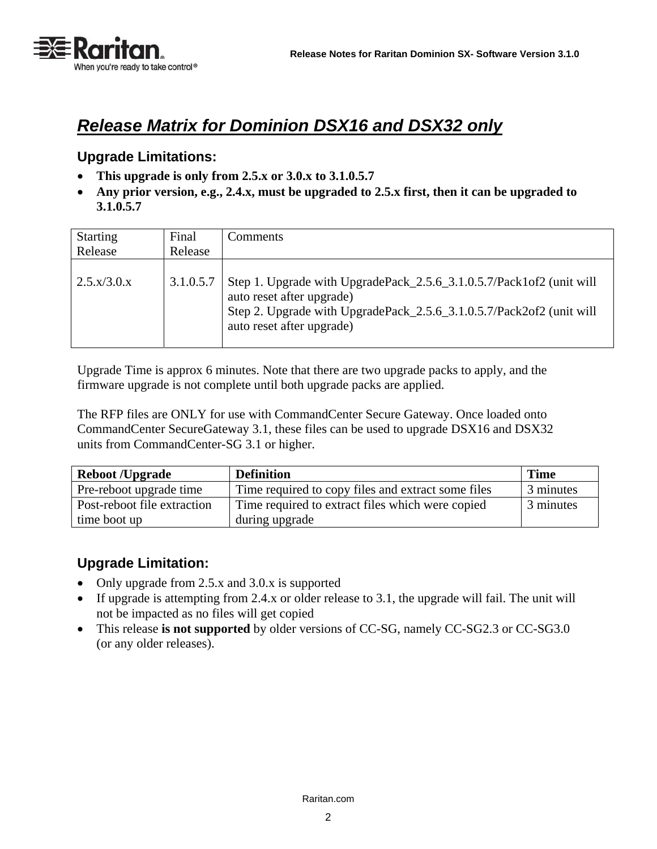

# *Release Matrix for Dominion DSX16 and DSX32 only*

#### **Upgrade Limitations:**

- **This upgrade is only from 2.5.x or 3.0.x to 3.1.0.5.7**
- **Any prior version, e.g., 2.4.x, must be upgraded to 2.5.x first, then it can be upgraded to 3.1.0.5.7**

| <b>Starting</b><br>Release    | Final<br>Release | Comments                                                                                                                                                                                               |
|-------------------------------|------------------|--------------------------------------------------------------------------------------------------------------------------------------------------------------------------------------------------------|
| $2.5 \text{ x}/3.0 \text{ x}$ | 3.1.0.5.7        | Step 1. Upgrade with UpgradePack_2.5.6_3.1.0.5.7/Pack1of2 (unit will<br>auto reset after upgrade)<br>Step 2. Upgrade with UpgradePack_2.5.6_3.1.0.5.7/Pack2of2 (unit will<br>auto reset after upgrade) |

Upgrade Time is approx 6 minutes. Note that there are two upgrade packs to apply, and the firmware upgrade is not complete until both upgrade packs are applied.

The RFP files are ONLY for use with CommandCenter Secure Gateway. Once loaded onto CommandCenter SecureGateway 3.1, these files can be used to upgrade DSX16 and DSX32 units from CommandCenter-SG 3.1 or higher.

| <b>Reboot /Upgrade</b>      | <b>Definition</b>                                  | <b>Time</b> |
|-----------------------------|----------------------------------------------------|-------------|
| Pre-reboot upgrade time     | Time required to copy files and extract some files | 3 minutes   |
| Post-reboot file extraction | Time required to extract files which were copied   | 3 minutes   |
| time boot up                | during upgrade                                     |             |

#### **Upgrade Limitation:**

- Only upgrade from 2.5.x and 3.0.x is supported
- If upgrade is attempting from 2.4.x or older release to 3.1, the upgrade will fail. The unit will not be impacted as no files will get copied
- This release **is not supported** by older versions of CC-SG, namely CC-SG2.3 or CC-SG3.0 (or any older releases).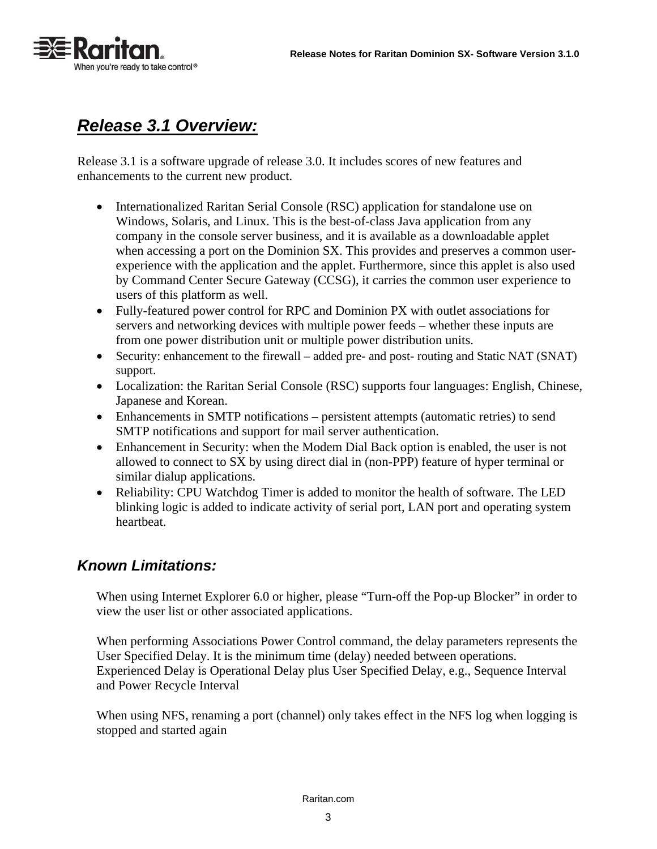

# *Release 3.1 Overview:*

Release 3.1 is a software upgrade of release 3.0. It includes scores of new features and enhancements to the current new product.

- Internationalized Raritan Serial Console (RSC) application for standalone use on Windows, Solaris, and Linux. This is the best-of-class Java application from any company in the console server business, and it is available as a downloadable applet when accessing a port on the Dominion SX. This provides and preserves a common userexperience with the application and the applet. Furthermore, since this applet is also used by Command Center Secure Gateway (CCSG), it carries the common user experience to users of this platform as well.
- Fully-featured power control for RPC and Dominion PX with outlet associations for servers and networking devices with multiple power feeds – whether these inputs are from one power distribution unit or multiple power distribution units.
- Security: enhancement to the firewall added pre- and post- routing and Static NAT (SNAT) support.
- Localization: the Raritan Serial Console (RSC) supports four languages: English, Chinese, Japanese and Korean.
- Enhancements in SMTP notifications persistent attempts (automatic retries) to send SMTP notifications and support for mail server authentication.
- Enhancement in Security: when the Modem Dial Back option is enabled, the user is not allowed to connect to SX by using direct dial in (non-PPP) feature of hyper terminal or similar dialup applications.
- Reliability: CPU Watchdog Timer is added to monitor the health of software. The LED blinking logic is added to indicate activity of serial port, LAN port and operating system heartbeat.

### *Known Limitations:*

When using Internet Explorer 6.0 or higher, please "Turn-off the Pop-up Blocker" in order to view the user list or other associated applications.

When performing Associations Power Control command, the delay parameters represents the User Specified Delay. It is the minimum time (delay) needed between operations. Experienced Delay is Operational Delay plus User Specified Delay, e.g., Sequence Interval and Power Recycle Interval

When using NFS, renaming a port (channel) only takes effect in the NFS log when logging is stopped and started again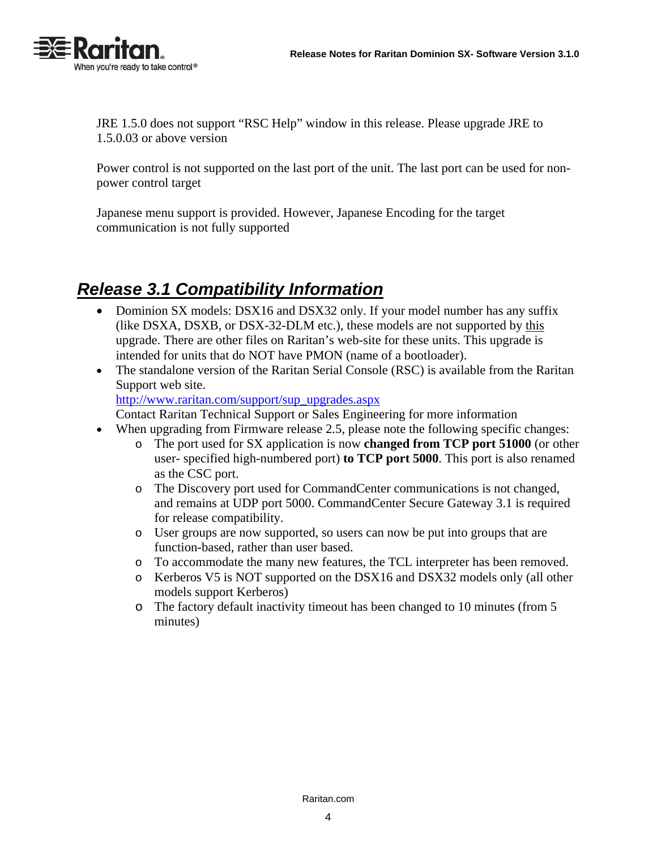

JRE 1.5.0 does not support "RSC Help" window in this release. Please upgrade JRE to 1.5.0.03 or above version

Power control is not supported on the last port of the unit. The last port can be used for nonpower control target

Japanese menu support is provided. However, Japanese Encoding for the target communication is not fully supported

# *Release 3.1 Compatibility Information*

- Dominion SX models: DSX16 and DSX32 only. If your model number has any suffix (like DSXA, DSXB, or DSX-32-DLM etc.), these models are not supported by this upgrade. There are other files on Raritan's web-site for these units. This upgrade is intended for units that do NOT have PMON (name of a bootloader).
- The standalone version of the Raritan Serial Console (RSC) is available from the Raritan Support web site.

[http://www.raritan.com/support/sup\\_upgrades.aspx](http://www.raritan.com/support/sup_upgrades.aspx)

Contact Raritan Technical Support or Sales Engineering for more information

- When upgrading from Firmware release 2.5, please note the following specific changes:
	- o The port used for SX application is now **changed from TCP port 51000** (or other user- specified high-numbered port) **to TCP port 5000**. This port is also renamed as the CSC port.
	- o The Discovery port used for CommandCenter communications is not changed, and remains at UDP port 5000. CommandCenter Secure Gateway 3.1 is required for release compatibility.
	- o User groups are now supported, so users can now be put into groups that are function-based, rather than user based.
	- o To accommodate the many new features, the TCL interpreter has been removed.
	- o Kerberos V5 is NOT supported on the DSX16 and DSX32 models only (all other models support Kerberos)
	- o The factory default inactivity timeout has been changed to 10 minutes (from 5 minutes)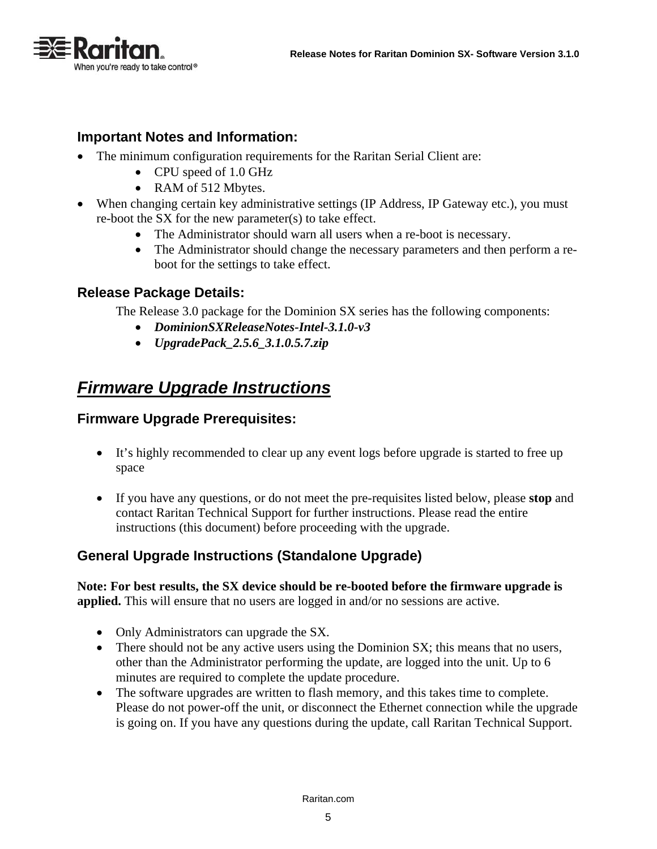

#### **Important Notes and Information:**

- The minimum configuration requirements for the Raritan Serial Client are:
	- CPU speed of 1.0 GHz
	- RAM of 512 Mbytes.
- When changing certain key administrative settings (IP Address, IP Gateway etc.), you must re-boot the SX for the new parameter(s) to take effect.
	- The Administrator should warn all users when a re-boot is necessary.
	- The Administrator should change the necessary parameters and then perform a reboot for the settings to take effect.

#### **Release Package Details:**

The Release 3.0 package for the Dominion SX series has the following components:

- *DominionSXReleaseNotes-Intel-3.1.0-v3*
- *UpgradePack\_2.5.6\_3.1.0.5.7.zip*

# *Firmware Upgrade Instructions*

#### **Firmware Upgrade Prerequisites:**

- It's highly recommended to clear up any event logs before upgrade is started to free up space
- If you have any questions, or do not meet the pre-requisites listed below, please **stop** and contact Raritan Technical Support for further instructions. Please read the entire instructions (this document) before proceeding with the upgrade.

#### **General Upgrade Instructions (Standalone Upgrade)**

**Note: For best results, the SX device should be re-booted before the firmware upgrade is applied.** This will ensure that no users are logged in and/or no sessions are active.

- Only Administrators can upgrade the SX.
- There should not be any active users using the Dominion SX; this means that no users, other than the Administrator performing the update, are logged into the unit. Up to 6 minutes are required to complete the update procedure.
- The software upgrades are written to flash memory, and this takes time to complete. Please do not power-off the unit, or disconnect the Ethernet connection while the upgrade is going on. If you have any questions during the update, call Raritan Technical Support.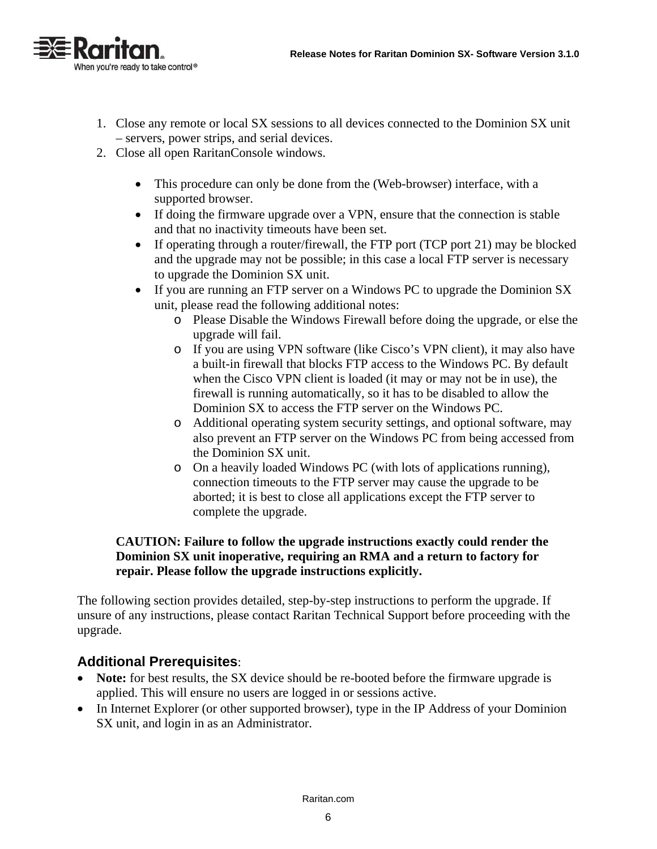

- 1. Close any remote or local SX sessions to all devices connected to the Dominion SX unit – servers, power strips, and serial devices.
- 2. Close all open RaritanConsole windows.
	- This procedure can only be done from the (Web-browser) interface, with a supported browser.
	- If doing the firmware upgrade over a VPN, ensure that the connection is stable and that no inactivity timeouts have been set.
	- If operating through a router/firewall, the FTP port (TCP port 21) may be blocked and the upgrade may not be possible; in this case a local FTP server is necessary to upgrade the Dominion SX unit.
	- If you are running an FTP server on a Windows PC to upgrade the Dominion SX unit, please read the following additional notes:
		- o Please Disable the Windows Firewall before doing the upgrade, or else the upgrade will fail.
		- o If you are using VPN software (like Cisco's VPN client), it may also have a built-in firewall that blocks FTP access to the Windows PC. By default when the Cisco VPN client is loaded (it may or may not be in use), the firewall is running automatically, so it has to be disabled to allow the Dominion SX to access the FTP server on the Windows PC.
		- o Additional operating system security settings, and optional software, may also prevent an FTP server on the Windows PC from being accessed from the Dominion SX unit.
		- o On a heavily loaded Windows PC (with lots of applications running), connection timeouts to the FTP server may cause the upgrade to be aborted; it is best to close all applications except the FTP server to complete the upgrade.

#### **CAUTION: Failure to follow the upgrade instructions exactly could render the Dominion SX unit inoperative, requiring an RMA and a return to factory for repair. Please follow the upgrade instructions explicitly.**

The following section provides detailed, step-by-step instructions to perform the upgrade. If unsure of any instructions, please contact Raritan Technical Support before proceeding with the upgrade.

#### **Additional Prerequisites**:

- Note: for best results, the SX device should be re-booted before the firmware upgrade is applied. This will ensure no users are logged in or sessions active.
- In Internet Explorer (or other supported browser), type in the IP Address of your Dominion SX unit, and login in as an Administrator.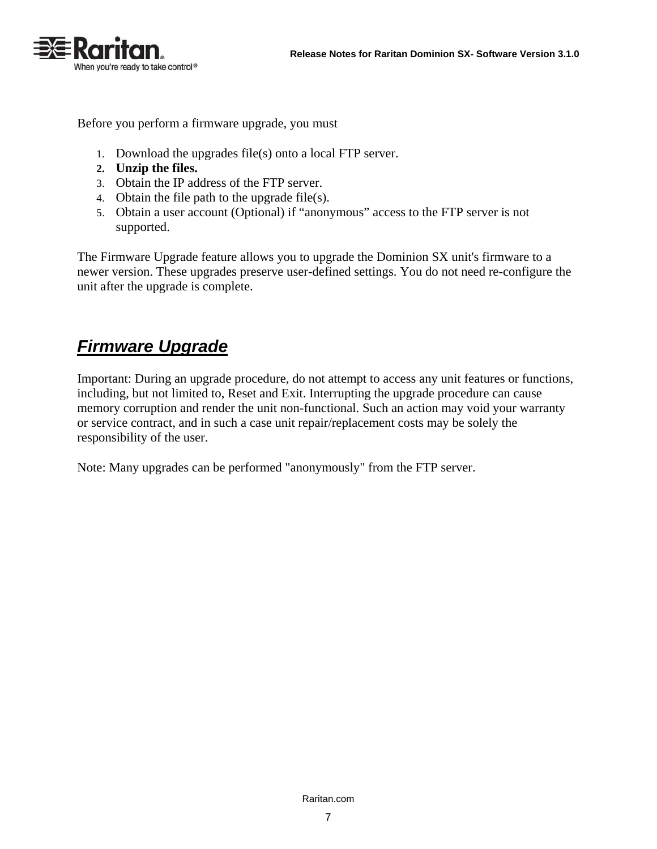

Before you perform a firmware upgrade, you must

- 1. Download the upgrades file(s) onto a local FTP server.
- **2. Unzip the files.**
- 3. Obtain the IP address of the FTP server.
- 4. Obtain the file path to the upgrade file(s).
- 5. Obtain a user account (Optional) if "anonymous" access to the FTP server is not supported.

The Firmware Upgrade feature allows you to upgrade the Dominion SX unit's firmware to a newer version. These upgrades preserve user-defined settings. You do not need re-configure the unit after the upgrade is complete.

# *Firmware Upgrade*

Important: During an upgrade procedure, do not attempt to access any unit features or functions, including, but not limited to, Reset and Exit. Interrupting the upgrade procedure can cause memory corruption and render the unit non-functional. Such an action may void your warranty or service contract, and in such a case unit repair/replacement costs may be solely the responsibility of the user.

Note: Many upgrades can be performed "anonymously" from the FTP server.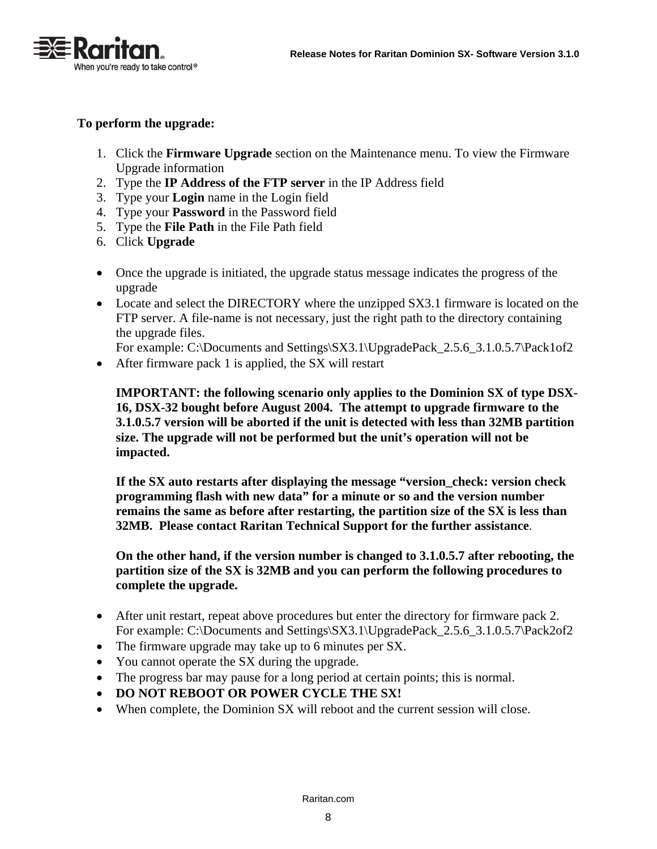

#### **To perform the upgrade:**

- 1. Click the **Firmware Upgrade** section on the Maintenance menu. To view the Firmware Upgrade information
- 2. Type the **IP Address of the FTP server** in the IP Address field
- 3. Type your **Login** name in the Login field
- 4. Type your **Password** in the Password field
- 5. Type the **File Path** in the File Path field
- 6. Click **Upgrade**
- Once the upgrade is initiated, the upgrade status message indicates the progress of the upgrade
- Locate and select the DIRECTORY where the unzipped SX3.1 firmware is located on the FTP server. A file-name is not necessary, just the right path to the directory containing the upgrade files.

For example: C:\Documents and Settings\SX3.1\UpgradePack\_2.5.6\_3.1.0.5.7\Pack1of2

• After firmware pack 1 is applied, the SX will restart

**IMPORTANT: the following scenario only applies to the Dominion SX of type DSX-16, DSX-32 bought before August 2004. The attempt to upgrade firmware to the 3.1.0.5.7 version will be aborted if the unit is detected with less than 32MB partition size. The upgrade will not be performed but the unit's operation will not be impacted.** 

**If the SX auto restarts after displaying the message "version\_check: version check programming flash with new data" for a minute or so and the version number remains the same as before after restarting, the partition size of the SX is less than 32MB. Please contact Raritan Technical Support for the further assistance**.

**On the other hand, if the version number is changed to 3.1.0.5.7 after rebooting, the partition size of the SX is 32MB and you can perform the following procedures to complete the upgrade.** 

- After unit restart, repeat above procedures but enter the directory for firmware pack 2. For example: C:\Documents and Settings\SX3.1\UpgradePack\_2.5.6\_3.1.0.5.7\Pack2of2
- The firmware upgrade may take up to 6 minutes per SX.
- You cannot operate the SX during the upgrade.
- The progress bar may pause for a long period at certain points; this is normal.
- **DO NOT REBOOT OR POWER CYCLE THE SX!**
- When complete, the Dominion SX will reboot and the current session will close.